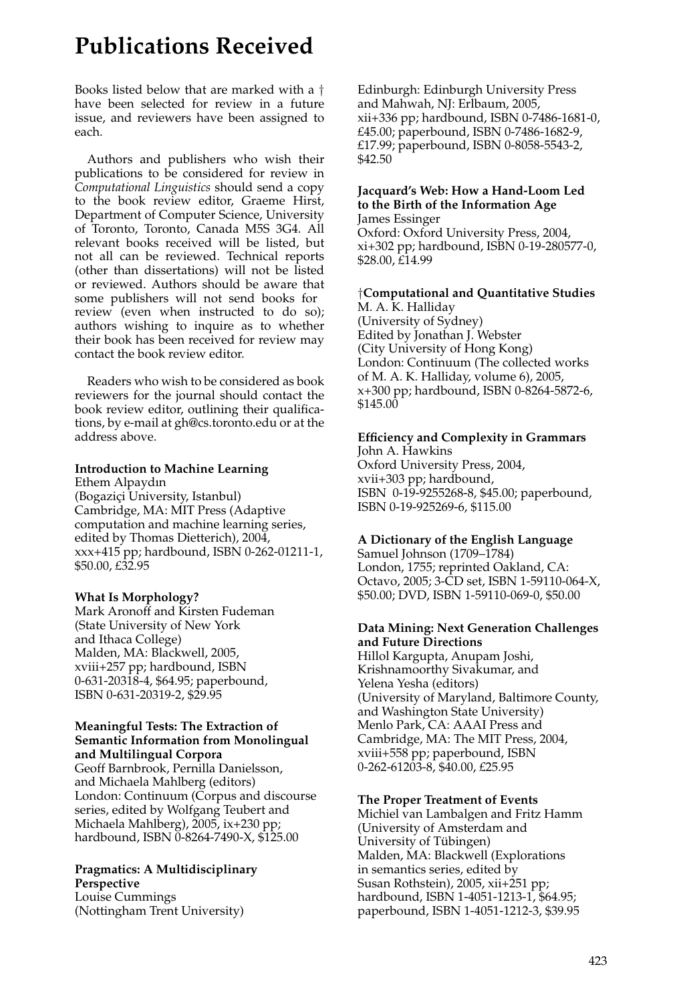# **Publications Received**

Books listed below that are marked with a † have been selected for review in a future issue, and reviewers have been assigned to each.

Authors and publishers who wish their publications to be considered for review in *Computational Linguistics* should send a copy to the book review editor, Graeme Hirst, Department of Computer Science, University of Toronto, Toronto, Canada M5S 3G4. All relevant books received will be listed, but not all can be reviewed. Technical reports (other than dissertations) will not be listed or reviewed. Authors should be aware that some publishers will not send books for review (even when instructed to do so); authors wishing to inquire as to whether their book has been received for review may contact the book review editor.

Readers who wish to be considered as book reviewers for the journal should contact the book review editor, outlining their qualifications, by e-mail at gh@cs.toronto.edu or at the address above.

#### **Introduction to Machine Learning**

Ethem Alpaydın (Bogaziçi University, Istanbul) Cambridge, MA: MIT Press (Adaptive computation and machine learning series, edited by Thomas Dietterich), 2004, xxx+415 pp; hardbound, ISBN 0-262-01211-1, \$50.00, £32.95

#### **What Is Morphology?**

Mark Aronoff and Kirsten Fudeman (State University of New York and Ithaca College) Malden, MA: Blackwell, 2005, xviii+257 pp; hardbound, ISBN 0-631-20318-4, \$64.95; paperbound, ISBN 0-631-20319-2, \$29.95

#### **Meaningful Tests: The Extraction of Semantic Information from Monolingual and Multilingual Corpora**

Geoff Barnbrook, Pernilla Danielsson, and Michaela Mahlberg (editors) London: Continuum (Corpus and discourse series, edited by Wolfgang Teubert and Michaela Mahlberg), 2005, ix+230 pp; hardbound, ISBN 0-8264-7490-X, \$125.00

#### **Pragmatics: A Multidisciplinary Perspective**

Louise Cummings (Nottingham Trent University) Edinburgh: Edinburgh University Press and Mahwah, NJ: Erlbaum, 2005, xii+336 pp; hardbound, ISBN 0-7486-1681-0, £45.00; paperbound, ISBN 0-7486-1682-9, £17.99; paperbound, ISBN 0-8058-5543-2, \$42.50

#### **Jacquard's Web: How a Hand-Loom Led to the Birth of the Information Age** James Essinger

Oxford: Oxford University Press, 2004, xi+302 pp; hardbound, ISBN 0-19-280577-0, \$28.00, £14.99

#### †**Computational and Quantitative Studies** M. A. K. Halliday

(University of Sydney) Edited by Jonathan J. Webster (City University of Hong Kong) London: Continuum (The collected works of M. A. K. Halliday, volume 6), 2005, x+300 pp; hardbound, ISBN 0-8264-5872-6, \$145.00

## **Efficiency and Complexity in Grammars**

John A. Hawkins Oxford University Press, 2004, xvii+303 pp; hardbound, ISBN 0-19-9255268-8, \$45.00; paperbound, ISBN 0-19-925269-6, \$115.00

#### **A Dictionary of the English Language**

Samuel Johnson (1709–1784) London, 1755; reprinted Oakland, CA: Octavo, 2005; 3-CD set, ISBN 1-59110-064-X, \$50.00; DVD, ISBN 1-59110-069-0, \$50.00

### **Data Mining: Next Generation Challenges and Future Directions**

Hillol Kargupta, Anupam Joshi, Krishnamoorthy Sivakumar, and Yelena Yesha (editors) (University of Maryland, Baltimore County, and Washington State University) Menlo Park, CA: AAAI Press and Cambridge, MA: The MIT Press, 2004, xviii+558 pp; paperbound, ISBN 0-262-61203-8, \$40.00, £25.95

#### **The Proper Treatment of Events**

Michiel van Lambalgen and Fritz Hamm (University of Amsterdam and University of Tubingen) ¨ Malden, MA: Blackwell (Explorations in semantics series, edited by Susan Rothstein), 2005, xii+251 pp; hardbound, ISBN 1-4051-1213-1, \$64.95; paperbound, ISBN 1-4051-1212-3, \$39.95